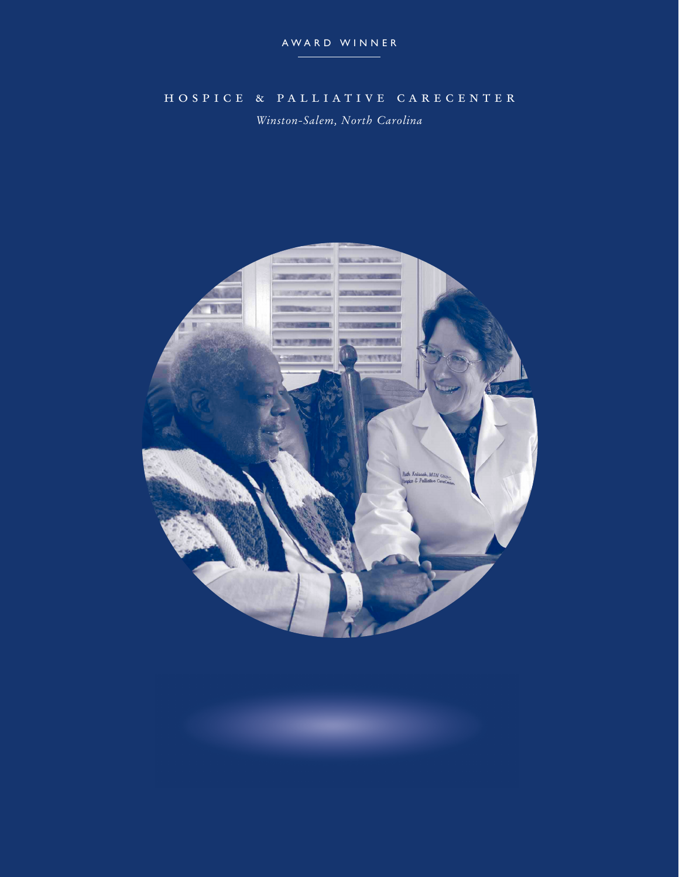## hospice & palliative carecenter

*Winston-Salem, North Carolina*

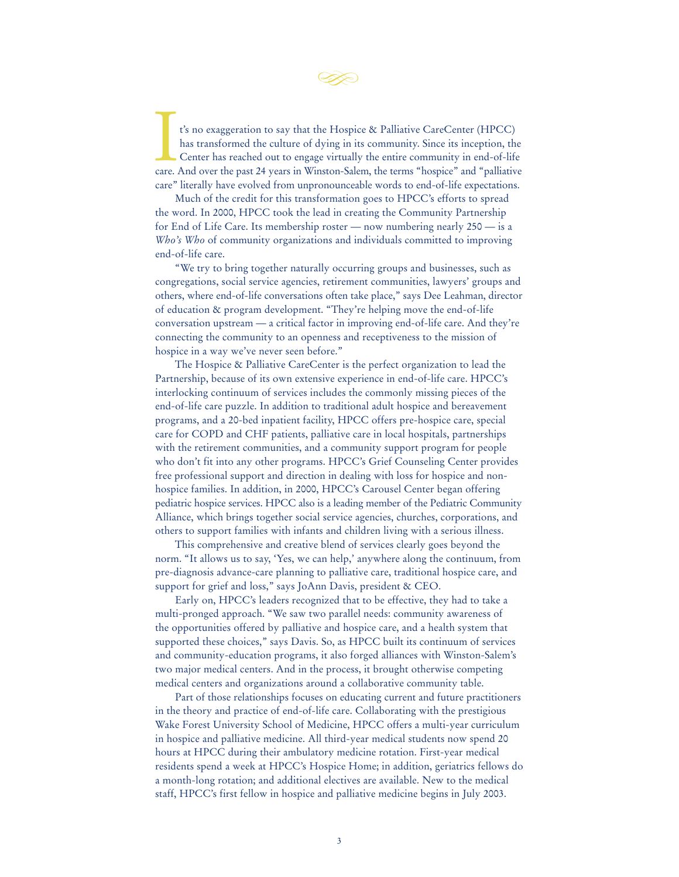

t's no exaggeration to say that the Hospice & Palliative CareCenter (HPCC) has transformed the culture of dying in its community. Since its inception, the Center has reached out to engage virtually the entire community in t's no exaggeration to say that the Hospice & Palliative CareCenter (HPCC) has transformed the culture of dying in its community. Since its inception, the Center has reached out to engage virtually the entire community in end-of-life care" literally have evolved from unpronounceable words to end-of-life expectations.

Much of the credit for this transformation goes to HPCC's efforts to spread the word. In 2000, HPCC took the lead in creating the Community Partnership for End of Life Care. Its membership roster — now numbering nearly 250 — is a *Who's Who* of community organizations and individuals committed to improving end-of-life care.

"We try to bring together naturally occurring groups and businesses, such as congregations, social service agencies, retirement communities, lawyers' groups and others, where end-of-life conversations often take place," says Dee Leahman, director of education & program development. "They're helping move the end-of-life conversation upstream — a critical factor in improving end-of-life care. And they're connecting the community to an openness and receptiveness to the mission of hospice in a way we've never seen before."

The Hospice & Palliative CareCenter is the perfect organization to lead the Partnership, because of its own extensive experience in end-of-life care. HPCC's interlocking continuum of services includes the commonly missing pieces of the end-of-life care puzzle. In addition to traditional adult hospice and bereavement programs, and a 20-bed inpatient facility, HPCC offers pre-hospice care, special care for COPD and CHF patients, palliative care in local hospitals, partnerships with the retirement communities, and a community support program for people who don't fit into any other programs. HPCC's Grief Counseling Center provides free professional support and direction in dealing with loss for hospice and nonhospice families. In addition, in 2000, HPCC's Carousel Center began offering pediatric hospice services. HPCC also is a leading member of the Pediatric Community Alliance, which brings together social service agencies, churches, corporations, and others to support families with infants and children living with a serious illness.

This comprehensive and creative blend of services clearly goes beyond the norm. "It allows us to say, 'Yes, we can help,' anywhere along the continuum, from pre-diagnosis advance-care planning to palliative care, traditional hospice care, and support for grief and loss," says JoAnn Davis, president & CEO.

Early on, HPCC's leaders recognized that to be effective, they had to take a multi-pronged approach. "We saw two parallel needs: community awareness of the opportunities offered by palliative and hospice care, and a health system that supported these choices," says Davis. So, as HPCC built its continuum of services and community-education programs, it also forged alliances with Winston-Salem's two major medical centers. And in the process, it brought otherwise competing medical centers and organizations around a collaborative community table.

Part of those relationships focuses on educating current and future practitioners in the theory and practice of end-of-life care. Collaborating with the prestigious Wake Forest University School of Medicine, HPCC offers a multi-year curriculum in hospice and palliative medicine. All third-year medical students now spend 20 hours at HPCC during their ambulatory medicine rotation. First-year medical residents spend a week at HPCC's Hospice Home; in addition, geriatrics fellows do a month-long rotation; and additional electives are available. New to the medical staff, HPCC's first fellow in hospice and palliative medicine begins in July 2003.